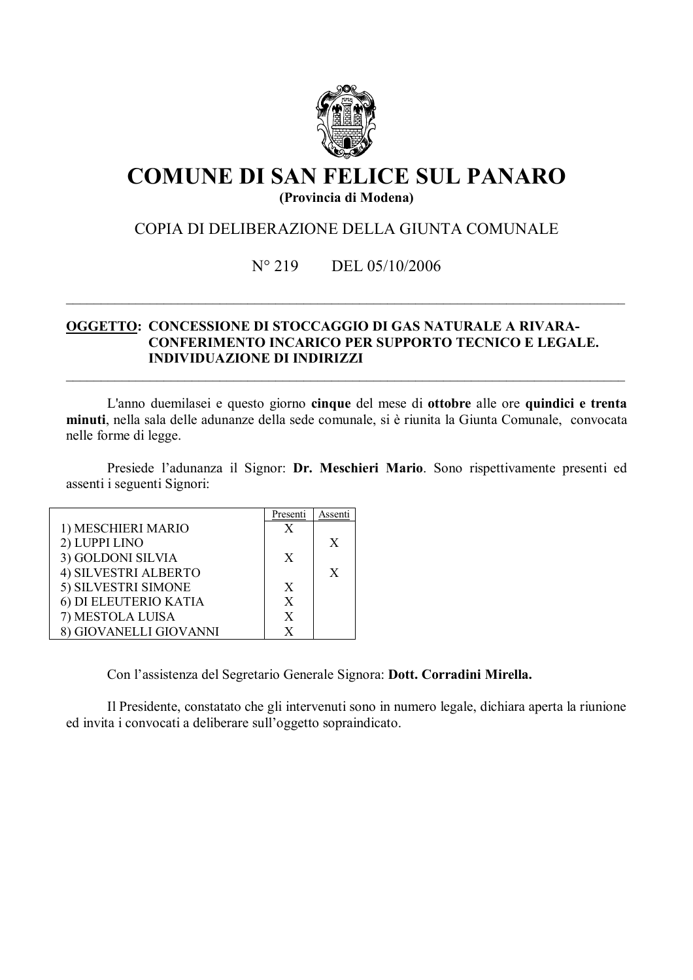

# **COMUNE DI SAN FELICE SUL PANARO** (Provincia di Modena)

# COPIA DI DELIBERAZIONE DELLA GIUNTA COMUNALE

#### $N^{\circ} 219$ DEL 05/10/2006

## OGGETTO: CONCESSIONE DI STOCCAGGIO DI GAS NATURALE A RIVARA-**CONFERIMENTO INCARICO PER SUPPORTO TECNICO E LEGALE. INDIVIDUAZIONE DI INDIRIZZI**

L'anno duemilasei e questo giorno cinque del mese di ottobre alle ore quindici e trenta minuti, nella sala delle adunanze della sede comunale, si è riunita la Giunta Comunale, convocata nelle forme di legge.

Presiede l'adunanza il Signor: Dr. Meschieri Mario. Sono rispettivamente presenti ed assenti i seguenti Signori:

|                            | Presenti     | Assenti |
|----------------------------|--------------|---------|
| 1) MESCHIERI MARIO         | $\mathbf{X}$ |         |
| 2) LUPPI LINO              |              | X       |
| 3) GOLDONI SILVIA          | X            |         |
| 4) SILVESTRI ALBERTO       |              | X       |
| 5) SILVESTRI SIMONE        | X            |         |
| 6) DI ELEUTERIO KATIA      | X            |         |
| 7) MESTOLA LUISA           | X            |         |
| <b>GIOVANELLI GIOVANNI</b> | X            |         |

Con l'assistenza del Segretario Generale Signora: Dott. Corradini Mirella.

Il Presidente, constatato che gli intervenuti sono in numero legale, dichiara aperta la riunione ed invita i convocati a deliberare sull'oggetto sopraindicato.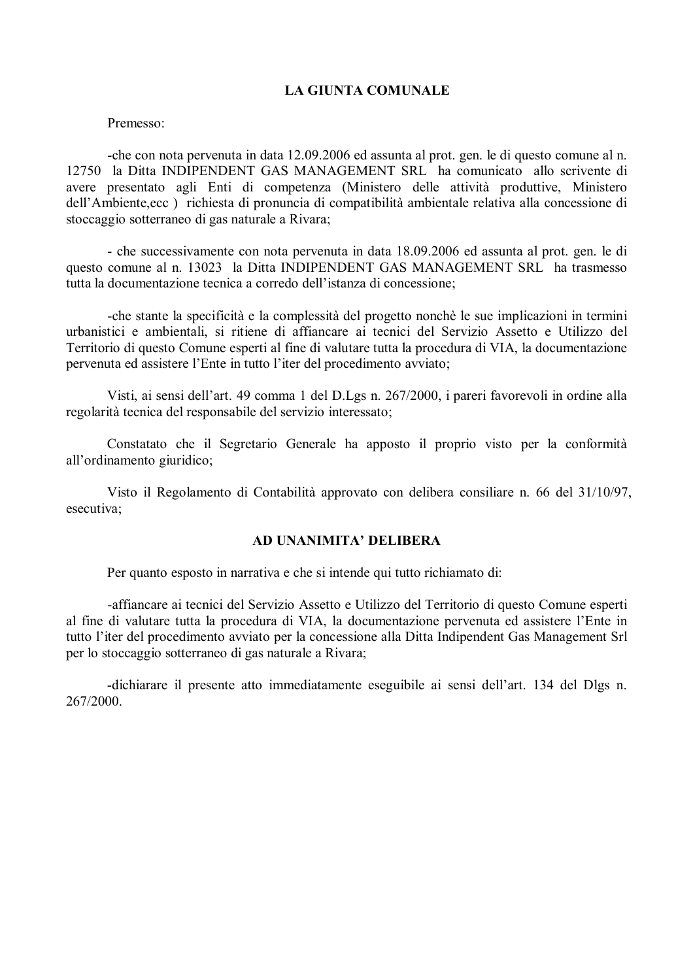### **LA GIUNTA COMUNALE**

#### Premesso<sup>-</sup>

-che con nota pervenuta in data 12.09.2006 ed assunta al prot. gen. le di questo comune al n. 12750 la Ditta INDIPENDENT GAS MANAGEMENT SRL ha comunicato allo scrivente di avere presentato agli Enti di competenza (Ministero delle attività produttive, Ministero dell'Ambiente, ecc) richiesta di pronuncia di compatibilità ambientale relativa alla concessione di stoccaggio sotterraneo di gas naturale a Rivara;

- che successivamente con nota pervenuta in data 18.09.2006 ed assunta al prot. gen. le di questo comune al n. 13023 la Ditta INDIPENDENT GAS MANAGEMENT SRL ha trasmesso tutta la documentazione tecnica a corredo dell'istanza di concessione:

-che stante la specificità e la complessità del progetto nonchè le sue implicazioni in termini urbanistici e ambientali, si ritiene di affiancare ai tecnici del Servizio Assetto e Utilizzo del Territorio di questo Comune esperti al fine di valutare tutta la procedura di VIA, la documentazione pervenuta ed assistere l'Ente in tutto l'iter del procedimento avviato;

Visti, ai sensi dell'art. 49 comma 1 del D.Lgs n. 267/2000, i pareri favorevoli in ordine alla regolarità tecnica del responsabile del servizio interessato;

Constatato che il Segretario Generale ha apposto il proprio visto per la conformità all'ordinamento giuridico;

Visto il Regolamento di Contabilità approvato con delibera consiliare n. 66 del 31/10/97, esecutiva;

#### AD UNANIMITA' DELIBERA

Per quanto esposto in narrativa e che si intende qui tutto richiamato di:

-affiancare ai tecnici del Servizio Assetto e Utilizzo del Territorio di questo Comune esperti al fine di valutare tutta la procedura di VIA, la documentazione pervenuta ed assistere l'Ente in tutto l'iter del procedimento avviato per la concessione alla Ditta Indipendent Gas Management Srl per lo stoccaggio sotterraneo di gas naturale a Rivara;

-dichiarare il presente atto immediatamente eseguibile ai sensi dell'art. 134 del Dlgs n. 267/2000.